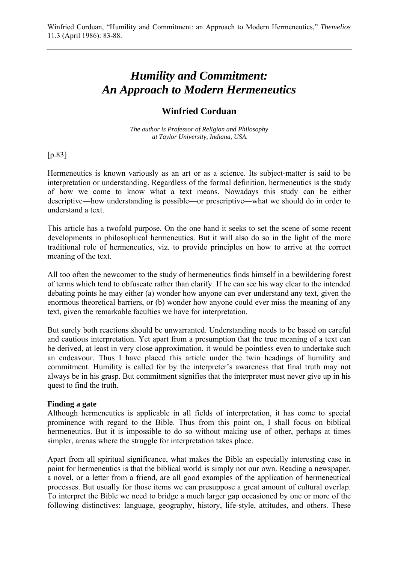# *Humility and Commitment: An Approach to Modern Hermeneutics*

# **Winfried Corduan**

*The author is Professor of Religion and Philosophy at Taylor University, Indiana, USA.*

[p.83]

Hermeneutics is known variously as an art or as a science. Its subject-matter is said to be interpretation or understanding. Regardless of the formal definition, hermeneutics is the study of how we come to know what a text means. Nowadays this study can be either descriptive―how understanding is possible―or prescriptive―what we should do in order to understand a text.

This article has a twofold purpose. On the one hand it seeks to set the scene of some recent developments in philosophical hermeneutics. But it will also do so in the light of the more traditional role of hermeneutics, viz. to provide principles on how to arrive at the correct meaning of the text.

All too often the newcomer to the study of hermeneutics finds himself in a bewildering forest of terms which tend to obfuscate rather than clarify. If he can see his way clear to the intended debating points he may either (a) wonder how anyone can ever understand any text, given the enormous theoretical barriers, or (b) wonder how anyone could ever miss the meaning of any text, given the remarkable faculties we have for interpretation.

But surely both reactions should be unwarranted. Understanding needs to be based on careful and cautious interpretation. Yet apart from a presumption that the true meaning of a text can be derived, at least in very close approximation, it would be pointless even to undertake such an endeavour. Thus I have placed this article under the twin headings of humility and commitment. Humility is called for by the interpreter's awareness that final truth may not always be in his grasp. But commitment signifies that the interpreter must never give up in his quest to find the truth.

### **Finding a gate**

Although hermeneutics is applicable in all fields of interpretation, it has come to special prominence with regard to the Bible. Thus from this point on, I shall focus on biblical hermeneutics. But it is impossible to do so without making use of other, perhaps at times simpler, arenas where the struggle for interpretation takes place.

Apart from all spiritual significance, what makes the Bible an especially interesting case in point for hermeneutics is that the biblical world is simply not our own. Reading a newspaper, a novel, or a letter from a friend, are all good examples of the application of hermeneutical processes. But usually for those items we can presuppose a great amount of cultural overlap. To interpret the Bible we need to bridge a much larger gap occasioned by one or more of the following distinctives: language, geography, history, life-style, attitudes, and others. These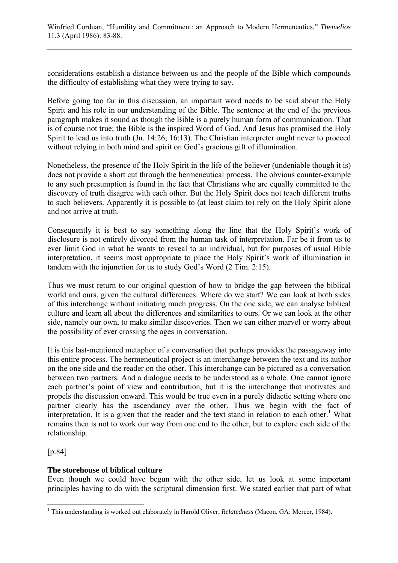considerations establish a distance between us and the people of the Bible which compounds the difficulty of establishing what they were trying to say.

Before going too far in this discussion, an important word needs to be said about the Holy Spirit and his role in our understanding of the Bible. The sentence at the end of the previous paragraph makes it sound as though the Bible is a purely human form of communication. That is of course not true; the Bible is the inspired Word of God. And Jesus has promised the Holy Spirit to lead us into truth (Jn. 14:26; 16:13). The Christian interpreter ought never to proceed without relying in both mind and spirit on God's gracious gift of illumination.

Nonetheless, the presence of the Holy Spirit in the life of the believer (undeniable though it is) does not provide a short cut through the hermeneutical process. The obvious counter-example to any such presumption is found in the fact that Christians who are equally committed to the discovery of truth disagree with each other. But the Holy Spirit does not teach different truths to such believers. Apparently it is possible to (at least claim to) rely on the Holy Spirit alone and not arrive at truth.

Consequently it is best to say something along the line that the Holy Spirit's work of disclosure is not entirely divorced from the human task of interpretation. Far be it from us to ever limit God in what he wants to reveal to an individual, but for purposes of usual Bible interpretation, it seems most appropriate to place the Holy Spirit's work of illumination in tandem with the injunction for us to study God's Word (2 Tim. 2:15).

Thus we must return to our original question of how to bridge the gap between the biblical world and ours, given the cultural differences. Where do we start? We can look at both sides of this interchange without initiating much progress. On the one side, we can analyse biblical culture and learn all about the differences and similarities to ours. Or we can look at the other side, namely our own, to make similar discoveries. Then we can either marvel or worry about the possibility of ever crossing the ages in conversation.

It is this last-mentioned metaphor of a conversation that perhaps provides the passageway into this entire process. The hermeneutical project is an interchange between the text and its author on the one side and the reader on the other. This interchange can be pictured as a conversation between two partners. And a dialogue needs to be understood as a whole. One cannot ignore each partner's point of view and contribution, but it is the interchange that motivates and propels the discussion onward. This would be true even in a purely didactic setting where one partner clearly has the ascendancy over the other. Thus we begin with the fact of interpretation. It is a given that the reader and the text stand in relation to each other.<sup>1</sup> What remains then is not to work our way from one end to the other, but to explore each side of the relationship.

[p.84]

### **The storehouse of biblical culture**

Even though we could have begun with the other side, let us look at some important principles having to do with the scriptural dimension first. We stated earlier that part of what

 1 This understanding is worked out elaborately in Harold Oliver, *Relatedness* (Macon, GA: Mercer, 1984).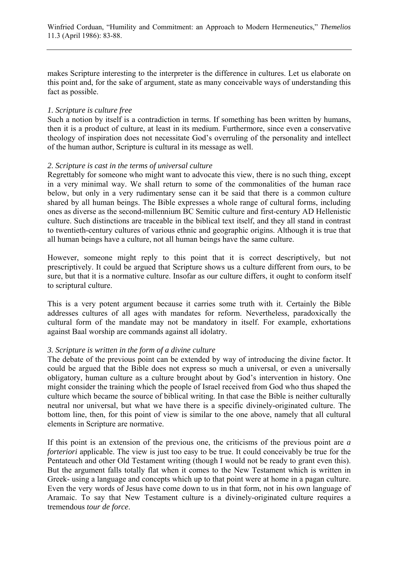makes Scripture interesting to the interpreter is the difference in cultures. Let us elaborate on this point and, for the sake of argument, state as many conceivable ways of understanding this fact as possible.

#### *1. Scripture is culture free*

Such a notion by itself is a contradiction in terms. If something has been written by humans, then it is a product of culture, at least in its medium. Furthermore, since even a conservative theology of inspiration does not necessitate God's overruling of the personality and intellect of the human author, Scripture is cultural in its message as well.

#### *2. Scripture is cast in the terms of universal culture*

Regrettably for someone who might want to advocate this view, there is no such thing, except in a very minimal way. We shall return to some of the commonalities of the human race below, but only in a very rudimentary sense can it be said that there is a common culture shared by all human beings. The Bible expresses a whole range of cultural forms, including ones as diverse as the second-millennium BC Semitic culture and first-century AD Hellenistic culture. Such distinctions are traceable in the biblical text itself, and they all stand in contrast to twentieth-century cultures of various ethnic and geographic origins. Although it is true that all human beings have a culture, not all human beings have the same culture.

However, someone might reply to this point that it is correct descriptively, but not prescriptively. It could be argued that Scripture shows us a culture different from ours, to be sure, but that it is a normative culture. Insofar as our culture differs, it ought to conform itself to scriptural culture.

This is a very potent argument because it carries some truth with it. Certainly the Bible addresses cultures of all ages with mandates for reform. Nevertheless, paradoxically the cultural form of the mandate may not be mandatory in itself. For example, exhortations against Baal worship are commands against all idolatry.

#### *3. Scripture is written in the form of a divine culture*

The debate of the previous point can be extended by way of introducing the divine factor. It could be argued that the Bible does not express so much a universal, or even a universally obligatory, human culture as a culture brought about by God's intervention in history. One might consider the training which the people of Israel received from God who thus shaped the culture which became the source of biblical writing. In that case the Bible is neither culturally neutral nor universal, but what we have there is a specific divinely-originated culture. The bottom line, then, for this point of view is similar to the one above, namely that all cultural elements in Scripture are normative.

If this point is an extension of the previous one, the criticisms of the previous point are *a forteriori* applicable. The view is just too easy to be true. It could conceivably be true for the Pentateuch and other Old Testament writing (though I would not be ready to grant even this). But the argument falls totally flat when it comes to the New Testament which is written in Greek- using a language and concepts which up to that point were at home in a pagan culture. Even the very words of Jesus have come down to us in that form, not in his own language of Aramaic. To say that New Testament culture is a divinely-originated culture requires a tremendous *tour de force*.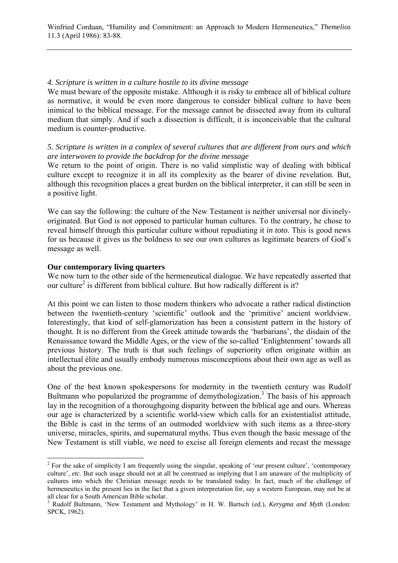# *4. Scripture is written in a culture hostile to its divine message*

We must beware of the opposite mistake. Although it is risky to embrace all of biblical culture as normative, it would be even more dangerous to consider biblical culture to have been inimical to the biblical message. For the message cannot be dissected away from its cultural medium that simply. And if such a dissection is difficult, it is inconceivable that the cultural medium is counter-productive.

## *5. Scripture is written in a complex of several cultures that are different from ours and which are interwoven to provide the backdrop for the divine message*

We return to the point of origin. There is no valid simplistic way of dealing with biblical culture except to recognize it in all its complexity as the bearer of divine revelation. But, although this recognition places a great burden on the biblical interpreter, it can still be seen in a positive light.

We can say the following: the culture of the New Testament is neither universal nor divinelyoriginated. But God is not opposed to particular human cultures. To the contrary, he chose to reveal himself through this particular culture without repudiating it *in toto*. This is good news for us because it gives us the boldness to see our own cultures as legitimate bearers of God's message as well.

### **Our contemporary living quarters**

 $\overline{a}$ 

We now turn to the other side of the hermeneutical dialogue. We have repeatedly asserted that our culture<sup>2</sup> is different from biblical culture. But how radically different is it?

At this point we can listen to those modern thinkers who advocate a rather radical distinction between the twentieth-century 'scientific' outlook and the 'primitive' ancient worldview. Interestingly, that kind of self-glamorization has been a consistent pattern in the history of thought. It is no different from the Greek attitude towards the 'barbarians', the disdain of the Renaissance toward the Middle Ages, or the view of the so-called 'Enlightenment' towards all previous history. The truth is that such feelings of superiority often originate within an intellectual élite and usually embody numerous misconceptions about their own age as well as about the previous one.

One of the best known spokespersons for modernity in the twentieth century was Rudolf Bultmann who popularized the programme of demythologization.<sup>3</sup> The basis of his approach lay in the recognition of a thoroughgoing disparity between the biblical age and ours. Whereas our age is characterized by a scientific world-view which calls for an existentialist attitude, the Bible is cast in the terms of an outmoded worldview with such items as a three-story universe, miracles, spirits, and supernatural myths. Thus even though the basic message of the New Testament is still viable, we need to excise all foreign elements and recast the message

<sup>&</sup>lt;sup>2</sup> For the sake of simplicity I am frequently using the singular, speaking of 'our present culture', 'contemporary culture', *etc*. But such usage should not at all be construed as implying that I am unaware of the multiplicity of cultures into which the Christian message needs to be translated today. In fact, much of the challenge of hermeneutics in the present lies in the fact that a given interpretation for, say a western European, may not be at all clear for a South American Bible scholar.

<sup>3</sup> Rudolf Bultmann, 'New Testament and Mythology' in H. W. Bartsch (ed.), *Kerygma and Myth* (London: SPCK, 1962).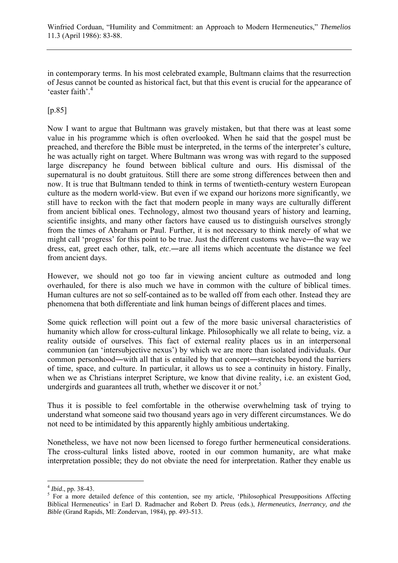in contemporary terms. In his most celebrated example, Bultmann claims that the resurrection of Jesus cannot be counted as historical fact, but that this event is crucial for the appearance of 'easter faith'.4

# [p.85]

Now I want to argue that Bultmann was gravely mistaken, but that there was at least some value in his programme which is often overlooked. When he said that the gospel must be preached, and therefore the Bible must be interpreted, in the terms of the interpreter's culture, he was actually right on target. Where Bultmann was wrong was with regard to the supposed large discrepancy he found between biblical culture and ours. His dismissal of the supernatural is no doubt gratuitous. Still there are some strong differences between then and now. It is true that Bultmann tended to think in terms of twentieth-century western European culture as the modern world-view. But even if we expand our horizons more significantly, we still have to reckon with the fact that modern people in many ways are culturally different from ancient biblical ones. Technology, almost two thousand years of history and learning, scientific insights, and many other factors have caused us to distinguish ourselves strongly from the times of Abraham or Paul. Further, it is not necessary to think merely of what we might call 'progress' for this point to be true. Just the different customs we have―the way we dress, eat, greet each other, talk, *etc*.―are all items which accentuate the distance we feel from ancient days.

However, we should not go too far in viewing ancient culture as outmoded and long overhauled, for there is also much we have in common with the culture of biblical times. Human cultures are not so self-contained as to be walled off from each other. Instead they are phenomena that both differentiate and link human beings of different places and times.

Some quick reflection will point out a few of the more basic universal characteristics of humanity which allow for cross-cultural linkage. Philosophically we all relate to being, viz. a reality outside of ourselves. This fact of external reality places us in an interpersonal communion (an 'intersubjective nexus') by which we are more than isolated individuals. Our common personhood―with all that is entailed by that concept―stretches beyond the barriers of time, space, and culture. In particular, it allows us to see a continuity in history. Finally, when we as Christians interpret Scripture, we know that divine reality, i.e. an existent God, undergirds and guarantees all truth, whether we discover it or not.<sup>5</sup>

Thus it is possible to feel comfortable in the otherwise overwhelming task of trying to understand what someone said two thousand years ago in very different circumstances. We do not need to be intimidated by this apparently highly ambitious undertaking.

Nonetheless, we have not now been licensed to forego further hermeneutical considerations. The cross-cultural links listed above, rooted in our common humanity, are what make interpretation possible; they do not obviate the need for interpretation. Rather they enable us

 $\overline{a}$ 

<sup>4</sup> *Ibid*., pp. 38-43. <sup>5</sup>

<sup>&</sup>lt;sup>5</sup> For a more detailed defence of this contention, see my article, 'Philosophical Presuppositions Affecting Biblical Hermeneutics' in Earl D. Radmacher and Robert D. Preus (eds.), *Hermeneutics, Inerrancy, and the Bible* (Grand Rapids, MI: Zondervan, 1984), pp. 493-513.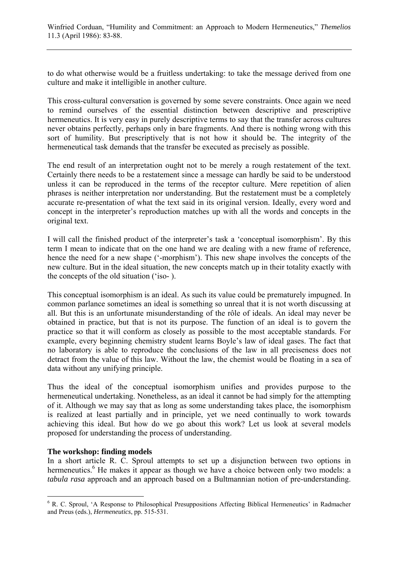to do what otherwise would be a fruitless undertaking: to take the message derived from one culture and make it intelligible in another culture.

This cross-cultural conversation is governed by some severe constraints. Once again we need to remind ourselves of the essential distinction between descriptive and prescriptive hermeneutics. It is very easy in purely descriptive terms to say that the transfer across cultures never obtains perfectly, perhaps only in bare fragments. And there is nothing wrong with this sort of humility. But prescriptively that is not how it should be. The integrity of the hermeneutical task demands that the transfer be executed as precisely as possible.

The end result of an interpretation ought not to be merely a rough restatement of the text. Certainly there needs to be a restatement since a message can hardly be said to be understood unless it can be reproduced in the terms of the receptor culture. Mere repetition of alien phrases is neither interpretation nor understanding. But the restatement must be a completely accurate re-presentation of what the text said in its original version. Ideally, every word and concept in the interpreter's reproduction matches up with all the words and concepts in the original text.

I will call the finished product of the interpreter's task a 'conceptual isomorphism'. By this term I mean to indicate that on the one hand we are dealing with a new frame of reference, hence the need for a new shape ('-morphism'). This new shape involves the concepts of the new culture. But in the ideal situation, the new concepts match up in their totality exactly with the concepts of the old situation ('iso- ).

This conceptual isomorphism is an ideal. As such its value could be prematurely impugned. In common parlance sometimes an ideal is something so unreal that it is not worth discussing at all. But this is an unfortunate misunderstanding of the rôle of ideals. An ideal may never be obtained in practice, but that is not its purpose. The function of an ideal is to govern the practice so that it will conform as closely as possible to the most acceptable standards. For example, every beginning chemistry student learns Boyle's law of ideal gases. The fact that no laboratory is able to reproduce the conclusions of the law in all preciseness does not detract from the value of this law. Without the law, the chemist would be floating in a sea of data without any unifying principle.

Thus the ideal of the conceptual isomorphism unifies and provides purpose to the hermeneutical undertaking. Nonetheless, as an ideal it cannot be had simply for the attempting of it. Although we may say that as long as some understanding takes place, the isomorphism is realized at least partially and in principle, yet we need continually to work towards achieving this ideal. But how do we go about this work? Let us look at several models proposed for understanding the process of understanding.

### **The workshop: finding models**

 $\overline{a}$ 

In a short article R. C. Sproul attempts to set up a disjunction between two options in hermeneutics.<sup>6</sup> He makes it appear as though we have a choice between only two models: a *tabula rasa* approach and an approach based on a Bultmannian notion of pre-understanding.

<sup>&</sup>lt;sup>6</sup> R. C. Sproul, 'A Response to Philosophical Presuppositions Affecting Biblical Hermeneutics' in Radmacher and Preus (eds.), *Hermeneutics*, pp. 515-531.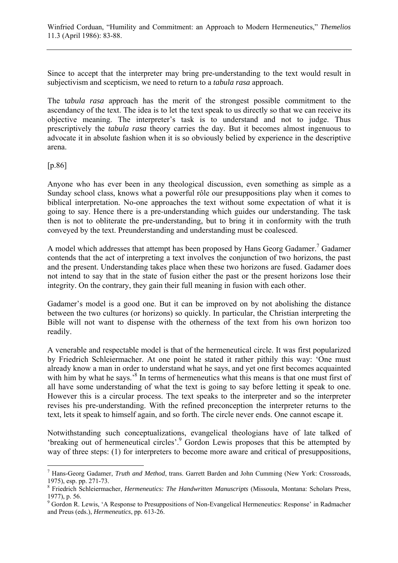Since to accept that the interpreter may bring pre-understanding to the text would result in subjectivism and scepticism, we need to return to a *tabula rasa* approach.

The t*abula rasa* approach has the merit of the strongest possible commitment to the ascendancy of the text. The idea is to let the text speak to us directly so that we can receive its objective meaning. The interpreter's task is to understand and not to judge. Thus prescriptively the *tabula rasa* theory carries the day. But it becomes almost ingenuous to advocate it in absolute fashion when it is so obviously belied by experience in the descriptive arena.

[p.86]

 $\overline{a}$ 

Anyone who has ever been in any theological discussion, even something as simple as a Sunday school class, knows what a powerful rôle our presuppositions play when it comes to biblical interpretation. No-one approaches the text without some expectation of what it is going to say. Hence there is a pre-understanding which guides our understanding. The task then is not to obliterate the pre-understanding, but to bring it in conformity with the truth conveyed by the text. Preunderstanding and understanding must be coalesced.

A model which addresses that attempt has been proposed by Hans Georg Gadamer.<sup>7</sup> Gadamer contends that the act of interpreting a text involves the conjunction of two horizons, the past and the present. Understanding takes place when these two horizons are fused. Gadamer does not intend to say that in the state of fusion either the past or the present horizons lose their integrity. On the contrary, they gain their full meaning in fusion with each other.

Gadamer's model is a good one. But it can be improved on by not abolishing the distance between the two cultures (or horizons) so quickly. In particular, the Christian interpreting the Bible will not want to dispense with the otherness of the text from his own horizon too readily.

A venerable and respectable model is that of the hermeneutical circle. It was first popularized by Friedrich Schleiermacher. At one point he stated it rather pithily this way: 'One must already know a man in order to understand what he says, and yet one first becomes acquainted with him by what he says.<sup>8</sup> In terms of hermeneutics what this means is that one must first of all have some understanding of what the text is going to say before letting it speak to one. However this is a circular process. The text speaks to the interpreter and so the interpreter revises his pre-understanding. With the refined preconception the interpreter returns to the text, lets it speak to himself again, and so forth. The circle never ends. One cannot escape it.

Notwithstanding such conceptualizations, evangelical theologians have of late talked of 'breaking out of hermeneutical circles'.<sup>9</sup> Gordon Lewis proposes that this be attempted by way of three steps: (1) for interpreters to become more aware and critical of presuppositions,

<sup>7</sup> Hans-Georg Gadamer, *Truth and Method*, trans. Garrett Barden and John Cumming (New York: Crossroads, 1975), esp. pp. 271-73.

<sup>8</sup> Friedrich Schleiermacher, *Hermeneutics: The Handwritten Manuscripts* (Missoula, Montana: Scholars Press, 1977), p. 56.

<sup>&</sup>lt;sup>9</sup> Gordon R. Lewis, 'A Response to Presuppositions of Non-Evangelical Hermeneutics: Response' in Radmacher and Preus (eds.), *Hermeneutics*, pp. 613-26.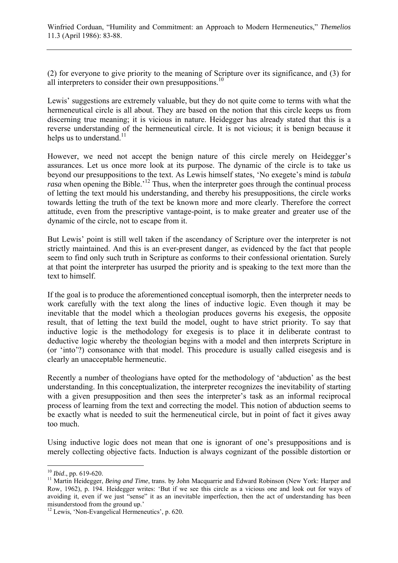(2) for everyone to give priority to the meaning of Scripture over its significance, and (3) for all interpreters to consider their own presuppositions.<sup>10</sup>

Lewis' suggestions are extremely valuable, but they do not quite come to terms with what the hermeneutical circle is all about. They are based on the notion that this circle keeps us from discerning true meaning; it is vicious in nature. Heidegger has already stated that this is a reverse understanding of the hermeneutical circle. It is not vicious; it is benign because it helps us to understand.<sup>11</sup>

However, we need not accept the benign nature of this circle merely on Heidegger's assurances. Let us once more look at its purpose. The dynamic of the circle is to take us beyond our presuppositions to the text. As Lewis himself states, 'No exegete's mind is *tabula rasa* when opening the Bible.<sup>'12</sup> Thus, when the interpreter goes through the continual process of letting the text mould his understanding, and thereby his presuppositions, the circle works towards letting the truth of the text be known more and more clearly. Therefore the correct attitude, even from the prescriptive vantage-point, is to make greater and greater use of the dynamic of the circle, not to escape from it.

But Lewis' point is still well taken if the ascendancy of Scripture over the interpreter is not strictly maintained. And this is an ever-present danger, as evidenced by the fact that people seem to find only such truth in Scripture as conforms to their confessional orientation. Surely at that point the interpreter has usurped the priority and is speaking to the text more than the text to himself.

If the goal is to produce the aforementioned conceptual isomorph, then the interpreter needs to work carefully with the text along the lines of inductive logic. Even though it may be inevitable that the model which a theologian produces governs his exegesis, the opposite result, that of letting the text build the model, ought to have strict priority. To say that inductive logic is the methodology for exegesis is to place it in deliberate contrast to deductive logic whereby the theologian begins with a model and then interprets Scripture in (or 'into'?) consonance with that model. This procedure is usually called eisegesis and is clearly an unacceptable hermeneutic.

Recently a number of theologians have opted for the methodology of 'abduction' as the best understanding. In this conceptualization, the interpreter recognizes the inevitability of starting with a given presupposition and then sees the interpreter's task as an informal reciprocal process of learning from the text and correcting the model. This notion of abduction seems to be exactly what is needed to suit the hermeneutical circle, but in point of fact it gives away too much.

Using inductive logic does not mean that one is ignorant of one's presuppositions and is merely collecting objective facts. Induction is always cognizant of the possible distortion or

 $10$  Ibid., pp. 619-620.

<sup>&</sup>lt;sup>11</sup> Martin Heidegger, *Being and Time*, trans. by John Macquarrie and Edward Robinson (New York: Harper and Row, 1962), p. 194. Heidegger writes: 'But if we see this circle as a vicious one and look out for ways of avoiding it, even if we just "sense" it as an inevitable imperfection, then the act of understanding has been misunderstood from the ground up.'

<sup>&</sup>lt;sup>12</sup> Lewis, 'Non-Evangelical Hermeneutics', p. 620.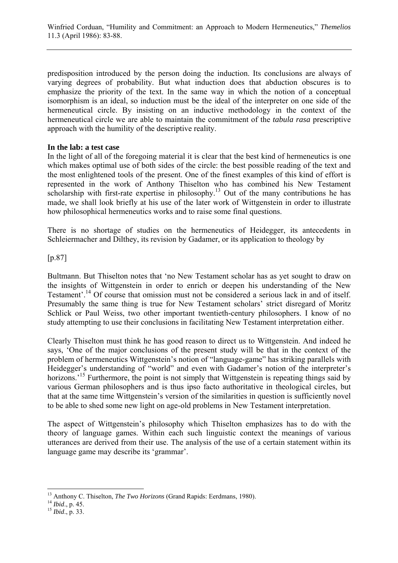predisposition introduced by the person doing the induction. Its conclusions are always of varying degrees of probability. But what induction does that abduction obscures is to emphasize the priority of the text. In the same way in which the notion of a conceptual isomorphism is an ideal, so induction must be the ideal of the interpreter on one side of the hermeneutical circle. By insisting on an inductive methodology in the context of the hermeneutical circle we are able to maintain the commitment of the *tabula rasa* prescriptive approach with the humility of the descriptive reality.

#### **In the lab: a test case**

In the light of all of the foregoing material it is clear that the best kind of hermeneutics is one which makes optimal use of both sides of the circle: the best possible reading of the text and the most enlightened tools of the present. One of the finest examples of this kind of effort is represented in the work of Anthony Thiselton who has combined his New Testament scholarship with first-rate expertise in philosophy.<sup>13</sup> Out of the many contributions he has made, we shall look briefly at his use of the later work of Wittgenstein in order to illustrate how philosophical hermeneutics works and to raise some final questions.

There is no shortage of studies on the hermeneutics of Heidegger, its antecedents in Schleiermacher and Dilthey, its revision by Gadamer, or its application to theology by

[p.87]

Bultmann. But Thiselton notes that 'no New Testament scholar has as yet sought to draw on the insights of Wittgenstein in order to enrich or deepen his understanding of the New Testament'.<sup>14</sup> Of course that omission must not be considered a serious lack in and of itself. Presumably the same thing is true for New Testament scholars' strict disregard of Moritz Schlick or Paul Weiss, two other important twentieth-century philosophers. I know of no study attempting to use their conclusions in facilitating New Testament interpretation either.

Clearly Thiselton must think he has good reason to direct us to Wittgenstein. And indeed he says, 'One of the major conclusions of the present study will be that in the context of the problem of hermeneutics Wittgenstein's notion of "language-game" has striking parallels with Heidegger's understanding of "world" and even with Gadamer's notion of the interpreter's horizons.<sup>'15</sup> Furthermore, the point is not simply that Wittgenstein is repeating things said by various German philosophers and is thus ipso facto authoritative in theological circles, but that at the same time Wittgenstein's version of the similarities in question is sufficiently novel to be able to shed some new light on age-old problems in New Testament interpretation.

The aspect of Wittgenstein's philosophy which Thiselton emphasizes has to do with the theory of language games. Within each such linguistic context the meanings of various utterances are derived from their use. The analysis of the use of a certain statement within its language game may describe its 'grammar'.

 $\overline{a}$ 

<sup>&</sup>lt;sup>13</sup> Anthony C. Thiselton, *The Two Horizons* (Grand Rapids: Eerdmans, 1980).<br><sup>14</sup> *Ibid.*, p. 45. <sup>15</sup> *Ibid.*, p. 33.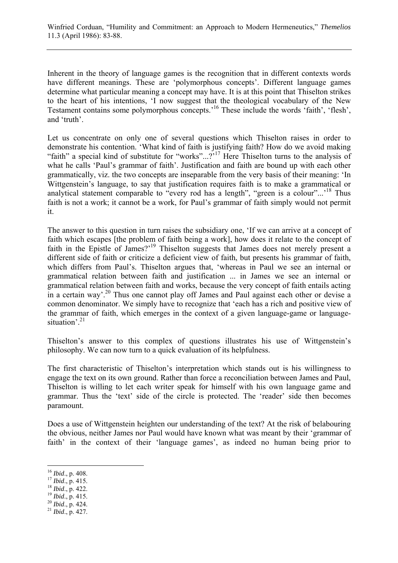Inherent in the theory of language games is the recognition that in different contexts words have different meanings. These are 'polymorphous concepts'. Different language games determine what particular meaning a concept may have. It is at this point that Thiselton strikes to the heart of his intentions, 'I now suggest that the theological vocabulary of the New Testament contains some polymorphous concepts.'16 These include the words 'faith', 'flesh', and 'truth'.

Let us concentrate on only one of several questions which Thiselton raises in order to demonstrate his contention. 'What kind of faith is justifying faith? How do we avoid making "faith" a special kind of substitute for "works"...?<sup>'17</sup> Here Thiselton turns to the analysis of what he calls 'Paul's grammar of faith'. Justification and faith are bound up with each other grammatically, viz. the two concepts are inseparable from the very basis of their meaning: 'In Wittgenstein's language, to say that justification requires faith is to make a grammatical or analytical statement comparable to "every rod has a length", "green is a colour"...<sup>18</sup> Thus faith is not a work; it cannot be a work, for Paul's grammar of faith simply would not permit it.

The answer to this question in turn raises the subsidiary one, 'If we can arrive at a concept of faith which escapes [the problem of faith being a work], how does it relate to the concept of faith in the Epistle of James?<sup>'19</sup> Thiselton suggests that James does not merely present a different side of faith or criticize a deficient view of faith, but presents his grammar of faith, which differs from Paul's. Thiselton argues that, 'whereas in Paul we see an internal or grammatical relation between faith and justification ... in James we see an internal or grammatical relation between faith and works, because the very concept of faith entails acting in a certain way'.<sup>20</sup> Thus one cannot play off James and Paul against each other or devise a common denominator. We simply have to recognize that 'each has a rich and positive view of the grammar of faith, which emerges in the context of a given language-game or languagesituation<sup>, 21</sup>

Thiselton's answer to this complex of questions illustrates his use of Wittgenstein's philosophy. We can now turn to a quick evaluation of its helpfulness.

The first characteristic of Thiselton's interpretation which stands out is his willingness to engage the text on its own ground. Rather than force a reconciliation between James and Paul, Thiselton is willing to let each writer speak for himself with his own language game and grammar. Thus the 'text' side of the circle is protected. The 'reader' side then becomes paramount.

Does a use of Wittgenstein heighten our understanding of the text? At the risk of belabouring the obvious, neither James nor Paul would have known what was meant by their 'grammar of faith' in the context of their 'language games', as indeed no human being prior to

 $\overline{a}$ 

- 
- 
- 
- 

<sup>16</sup> *Ibid*., p. 408. 17 *Ibid*., p. 415. 18 *Ibid*., p. 422. 19 *Ibid*., p. 415. 20 *Ibid*., p. 424. 21 *Ibid*., p. 427.